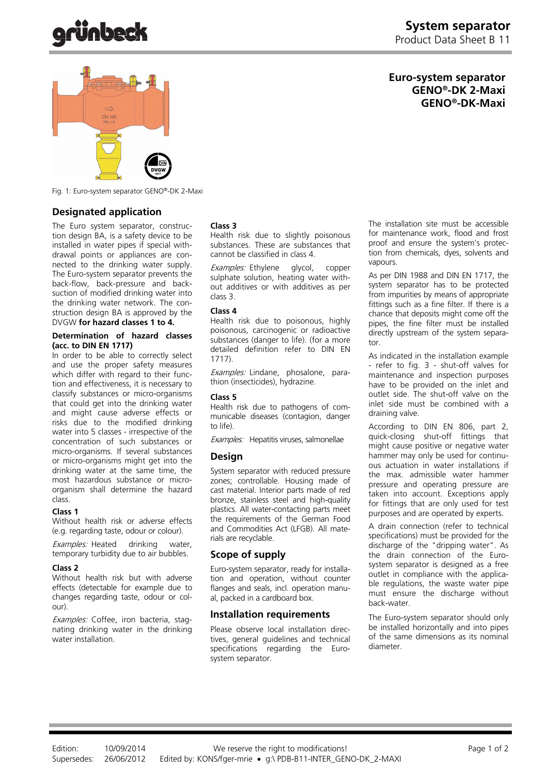**Euro-system separator GENO®-DK 2-Maxi GENO®-DK-Maxi**



Fig. 1: Euro-system separator GENO®-DK 2-Maxi

### **Designated application**

The Euro system separator, construction design BA, is a safety device to be installed in water pipes if special withdrawal points or appliances are connected to the drinking water supply. The Euro-system separator prevents the back-flow, back-pressure and backsuction of modified drinking water into the drinking water network. The construction design BA is approved by the DVGW **for hazard classes 1 to 4.**

#### **Determination of hazard classes (acc. to DIN EN 1717)**

In order to be able to correctly select and use the proper safety measures which differ with regard to their function and effectiveness, it is necessary to classify substances or micro-organisms that could get into the drinking water and might cause adverse effects or risks due to the modified drinking water into 5 classes - irrespective of the concentration of such substances or micro-organisms. If several substances or micro-organisms might get into the drinking water at the same time, the most hazardous substance or microorganism shall determine the hazard class.

#### **Class 1**

Without health risk or adverse effects (e.g. regarding taste, odour or colour).

Examples: Heated drinking water, temporary turbidity due to air bubbles.

#### **Class 2**

Without health risk but with adverse effects (detectable for example due to changes regarding taste, odour or colour).

Examples: Coffee, iron bacteria, stagnating drinking water in the drinking water installation.

#### **Class 3**

Health risk due to slightly poisonous substances. These are substances that cannot be classified in class 4.

Examples: Ethylene glycol, copper sulphate solution, heating water without additives or with additives as per class 3.

#### **Class 4**

Health risk due to poisonous, highly poisonous, carcinogenic or radioactive substances (danger to life). (for a more detailed definition refer to DIN EN 1717).

Examples: Lindane, phosalone, parathion (insecticides), hydrazine.

#### **Class 5**

Health risk due to pathogens of communicable diseases (contagion, danger to life).

Examples: Hepatitis viruses, salmonellae

#### **Design**

System separator with reduced pressure zones; controllable. Housing made of cast material. Interior parts made of red bronze, stainless steel and high-quality plastics. All water-contacting parts meet the requirements of the German Food and Commodities Act (LFGB). All materials are recyclable.

#### **Scope of supply**

Euro-system separator, ready for installation and operation, without counter flanges and seals, incl. operation manual, packed in a cardboard box.

#### **Installation requirements**

Please observe local installation directives, general guidelines and technical specifications regarding the Eurosystem separator.

The installation site must be accessible for maintenance work, flood and frost proof and ensure the system's protection from chemicals, dyes, solvents and vapours.

As per DIN 1988 and DIN EN 1717, the system separator has to be protected from impurities by means of appropriate fittings such as a fine filter. If there is a chance that deposits might come off the pipes, the fine filter must be installed directly upstream of the system separator.

As indicated in the installation example - refer to fig. 3 - shut-off valves for maintenance and inspection purposes have to be provided on the inlet and outlet side. The shut-off valve on the inlet side must be combined with a draining valve.

According to DIN EN 806, part 2, quick-closing shut-off fittings that might cause positive or negative water hammer may only be used for continuous actuation in water installations if the max. admissible water hammer pressure and operating pressure are taken into account. Exceptions apply for fittings that are only used for test purposes and are operated by experts.

A drain connection (refer to technical specifications) must be provided for the discharge of the "dripping water". As the drain connection of the Eurosystem separator is designed as a free outlet in compliance with the applicable regulations, the waste water pipe must ensure the discharge without back-water.

The Euro-system separator should only be installed horizontally and into pipes of the same dimensions as its nominal diameter.